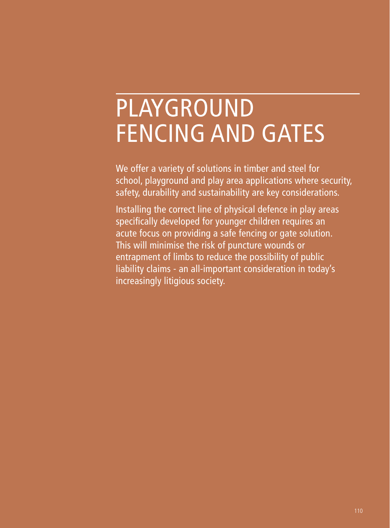# PLAYGROUND FENCING AND GATES

We offer a variety of solutions in timber and steel for school, playground and play area applications where security, safety, durability and sustainability are key considerations.

Installing the correct line of physical defence in play areas specifically developed for younger children requires an acute focus on providing a safe fencing or gate solution. This will minimise the risk of puncture wounds or entrapment of limbs to reduce the possibility of public liability claims - an all-important consideration in today's increasingly litigious society.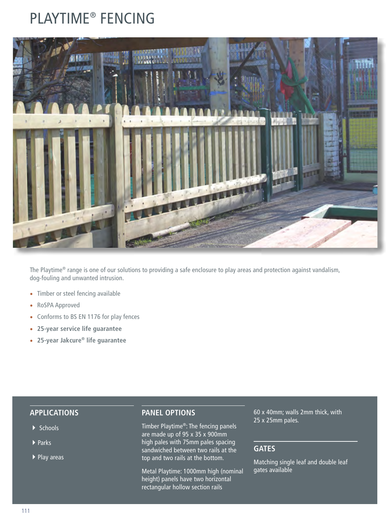# PLAYTIME® FENCING



The Playtime® range is one of our solutions to providing a safe enclosure to play areas and protection against vandalism, dog-fouling and unwanted intrusion.

- Timber or steel fencing available
- RoSPA Approved
- Conforms to BS EN 1176 for play fences
- **25-year service life guarantee**
- **25-year Jakcure® life guarantee**

#### **APPLICATIONS**

- ▶ Schools
- $\blacktriangleright$  Parks
- ▶ Play areas

#### **PANEL OPTIONS**

Timber Playtime®: The fencing panels are made up of 95 x 35 x 900mm high pales with 75mm pales spacing sandwiched between two rails at the top and two rails at the bottom.

Metal Playtime: 1000mm high (nominal height) panels have two horizontal rectangular hollow section rails

60 x 40mm; walls 2mm thick, with 25 x 25mm pales.

#### **GATES**

Matching single leaf and double leaf gates available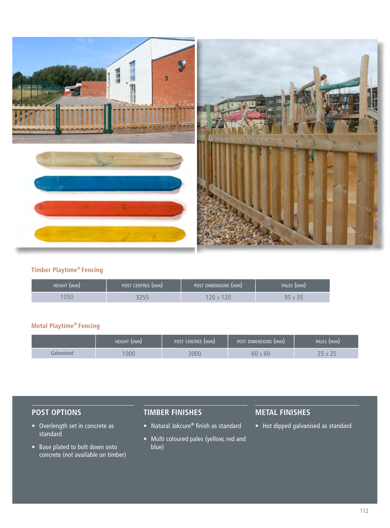

#### **Timber Playtime® Fencing**

| HEIGHT (mm) | POST CENTRES (mm) | POST DIMENSIONS (mm) | PALES (mm) |
|-------------|-------------------|----------------------|------------|
| <b>1050</b> |                   | $\mathcal{M}$        | QЕ         |

#### **Metal Playtime® Fencing**

|            | HEIGHT (mm) | POST CENTRES (mm) | POST DIMENSIONS (mm) | PALES (mm) |
|------------|-------------|-------------------|----------------------|------------|
| ialvanised | 000         |                   | 60 x 60              |            |

### **POST OPTIONS**

- Overlength set in concrete as standard
- Base plated to bolt down onto concrete (not available on timber)

### **TIMBER FINISHES**

- Natural Jakcure**®** finish as standard
- Multi coloured pales (yellow, red and blue)

### **METAL FINISHES**

• Hot dipped galvanised as standard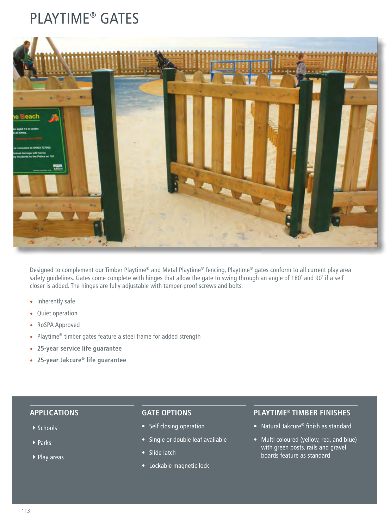# PLAYTIME® GATES



Designed to complement our Timber Playtime® and Metal Playtime® fencing, Playtime® gates conform to all current play area safety guidelines. Gates come complete with hinges that allow the gate to swing through an angle of 180° and 90° if a self closer is added. The hinges are fully adjustable with tamper-proof screws and bolts.

- Inherently safe
- Quiet operation
- RoSPA Approved
- Playtime® timber gates feature a steel frame for added strength
- **25-year service life guarantee**
- **25-year Jakcure® life guarantee**

#### **APPLICATIONS**

- $\blacktriangleright$  Schools
- $\blacktriangleright$  Parks
- ▶ Play areas

#### **GATE OPTIONS**

- Self closing operation
- Single or double leaf available
- Slide latch
- Lockable magnetic lock

#### **PLAYTIME**® **TIMBER FINISHES**

- Natural Jakcure® finish as standard
- Multi coloured (yellow, red, and blue) with green posts, rails and gravel boards feature as standard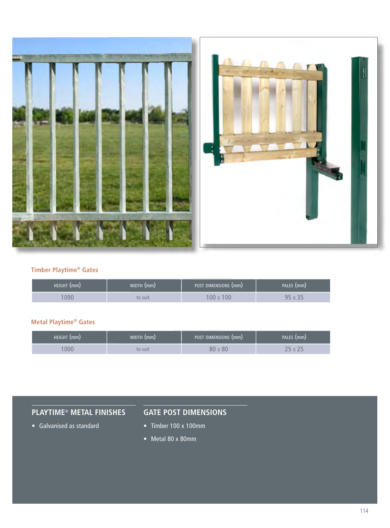

#### **Timber Playtime® Gates**

| HEIGHT (mm) | WIDTH (mm) | POST DIMENSIONS (mm) | PALES (mm) |
|-------------|------------|----------------------|------------|
| 090         | to suit    | 00                   | O 1.       |

#### **Metal Playtime® Gates**

| HEIGHT (mm) | WIDTH (mm) | POST DIMENSIONS (mm) | PALES (mm)   |
|-------------|------------|----------------------|--------------|
| 000         | to suit    | $80 \times 80$       | $\mathbf{v}$ |

# **PLAYTIME**® **METAL FINISHES**

## **GATE POST DIMENSIONS**

- Galvanised as standard
- Timber 100 x 100mm
- Metal 80 x 80mm